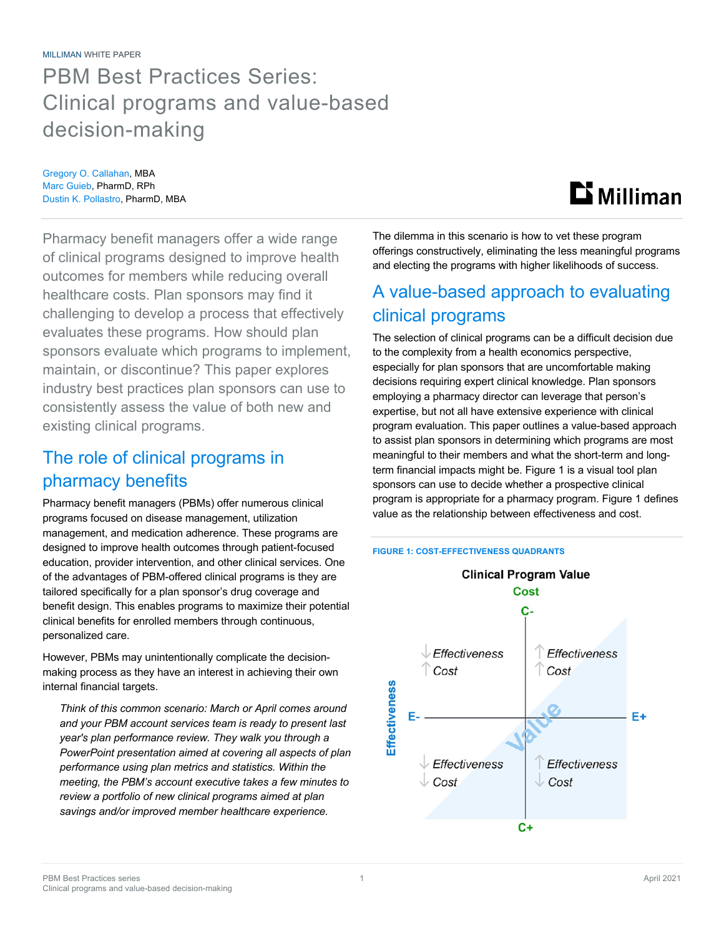### PBM Best Practices Series: Clinical programs and value-based decision-making

Gregory O. Callahan, MBA Marc Guieb, PharmD, RPh Dustin K. Pollastro, PharmD, MBA

# **Li** Milliman

Pharmacy benefit managers offer a wide range of clinical programs designed to improve health outcomes for members while reducing overall healthcare costs. Plan sponsors may find it challenging to develop a process that effectively evaluates these programs. How should plan sponsors evaluate which programs to implement, maintain, or discontinue? This paper explores industry best practices plan sponsors can use to consistently assess the value of both new and existing clinical programs.

### The role of clinical programs in pharmacy benefits

Pharmacy benefit managers (PBMs) offer numerous clinical programs focused on disease management, utilization management, and medication adherence. These programs are designed to improve health outcomes through patient-focused education, provider intervention, and other clinical services. One of the advantages of PBM-offered clinical programs is they are tailored specifically for a plan sponsor's drug coverage and benefit design. This enables programs to maximize their potential clinical benefits for enrolled members through continuous, personalized care.

However, PBMs may unintentionally complicate the decisionmaking process as they have an interest in achieving their own internal financial targets.

*Think of this common scenario: March or April comes around and your PBM account services team is ready to present last year's plan performance review. They walk you through a PowerPoint presentation aimed at covering all aspects of plan performance using plan metrics and statistics. Within the meeting, the PBM's account executive takes a few minutes to review a portfolio of new clinical programs aimed at plan savings and/or improved member healthcare experience.* 

The dilemma in this scenario is how to vet these program offerings constructively, eliminating the less meaningful programs and electing the programs with higher likelihoods of success.

### A value-based approach to evaluating clinical programs

The selection of clinical programs can be a difficult decision due to the complexity from a health economics perspective, especially for plan sponsors that are uncomfortable making decisions requiring expert clinical knowledge. Plan sponsors employing a pharmacy director can leverage that person's expertise, but not all have extensive experience with clinical program evaluation. This paper outlines a value-based approach to assist plan sponsors in determining which programs are most meaningful to their members and what the short-term and longterm financial impacts might be. Figure 1 is a visual tool plan sponsors can use to decide whether a prospective clinical program is appropriate for a pharmacy program. Figure 1 defines value as the relationship between effectiveness and cost.



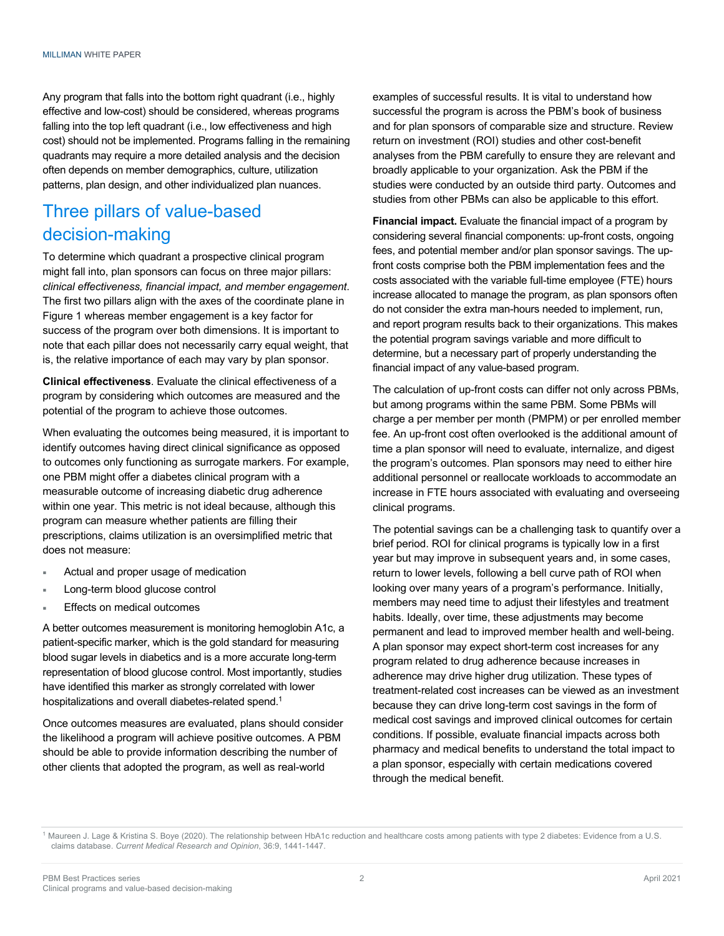Any program that falls into the bottom right quadrant (i.e., highly effective and low-cost) should be considered, whereas programs falling into the top left quadrant (i.e., low effectiveness and high cost) should not be implemented. Programs falling in the remaining quadrants may require a more detailed analysis and the decision often depends on member demographics, culture, utilization patterns, plan design, and other individualized plan nuances.

### Three pillars of value-based decision-making

To determine which quadrant a prospective clinical program might fall into, plan sponsors can focus on three major pillars: *clinical effectiveness, financial impact, and member engagement*. The first two pillars align with the axes of the coordinate plane in Figure 1 whereas member engagement is a key factor for success of the program over both dimensions. It is important to note that each pillar does not necessarily carry equal weight, that is, the relative importance of each may vary by plan sponsor.

**Clinical effectiveness**. Evaluate the clinical effectiveness of a program by considering which outcomes are measured and the potential of the program to achieve those outcomes.

When evaluating the outcomes being measured, it is important to identify outcomes having direct clinical significance as opposed to outcomes only functioning as surrogate markers. For example, one PBM might offer a diabetes clinical program with a measurable outcome of increasing diabetic drug adherence within one year. This metric is not ideal because, although this program can measure whether patients are filling their prescriptions, claims utilization is an oversimplified metric that does not measure:

- Actual and proper usage of medication
- Long-term blood glucose control
- Effects on medical outcomes

A better outcomes measurement is monitoring hemoglobin A1c, a patient-specific marker, which is the gold standard for measuring blood sugar levels in diabetics and is a more accurate long-term representation of blood glucose control. Most importantly, studies have identified this marker as strongly correlated with lower hospitalizations and overall diabetes-related spend.<sup>1</sup>

Once outcomes measures are evaluated, plans should consider the likelihood a program will achieve positive outcomes. A PBM should be able to provide information describing the number of other clients that adopted the program, as well as real-world

examples of successful results. It is vital to understand how successful the program is across the PBM's book of business and for plan sponsors of comparable size and structure. Review return on investment (ROI) studies and other cost-benefit analyses from the PBM carefully to ensure they are relevant and broadly applicable to your organization. Ask the PBM if the studies were conducted by an outside third party. Outcomes and studies from other PBMs can also be applicable to this effort.

**Financial impact.** Evaluate the financial impact of a program by considering several financial components: up-front costs, ongoing fees, and potential member and/or plan sponsor savings. The upfront costs comprise both the PBM implementation fees and the costs associated with the variable full-time employee (FTE) hours increase allocated to manage the program, as plan sponsors often do not consider the extra man-hours needed to implement, run, and report program results back to their organizations. This makes the potential program savings variable and more difficult to determine, but a necessary part of properly understanding the financial impact of any value-based program.

The calculation of up-front costs can differ not only across PBMs, but among programs within the same PBM. Some PBMs will charge a per member per month (PMPM) or per enrolled member fee. An up-front cost often overlooked is the additional amount of time a plan sponsor will need to evaluate, internalize, and digest the program's outcomes. Plan sponsors may need to either hire additional personnel or reallocate workloads to accommodate an increase in FTE hours associated with evaluating and overseeing clinical programs.

The potential savings can be a challenging task to quantify over a brief period. ROI for clinical programs is typically low in a first year but may improve in subsequent years and, in some cases, return to lower levels, following a bell curve path of ROI when looking over many years of a program's performance. Initially, members may need time to adjust their lifestyles and treatment habits. Ideally, over time, these adjustments may become permanent and lead to improved member health and well-being. A plan sponsor may expect short-term cost increases for any program related to drug adherence because increases in adherence may drive higher drug utilization. These types of treatment-related cost increases can be viewed as an investment because they can drive long-term cost savings in the form of medical cost savings and improved clinical outcomes for certain conditions. If possible, evaluate financial impacts across both pharmacy and medical benefits to understand the total impact to a plan sponsor, especially with certain medications covered through the medical benefit.

<sup>&</sup>lt;sup>1</sup> Maureen J. Lage & Kristina S. Boye (2020). The relationship between HbA1c reduction and healthcare costs among patients with type 2 diabetes: Evidence from a U.S. claims database. *Current Medical Research and Opinion*, 36:9, 1441-1447.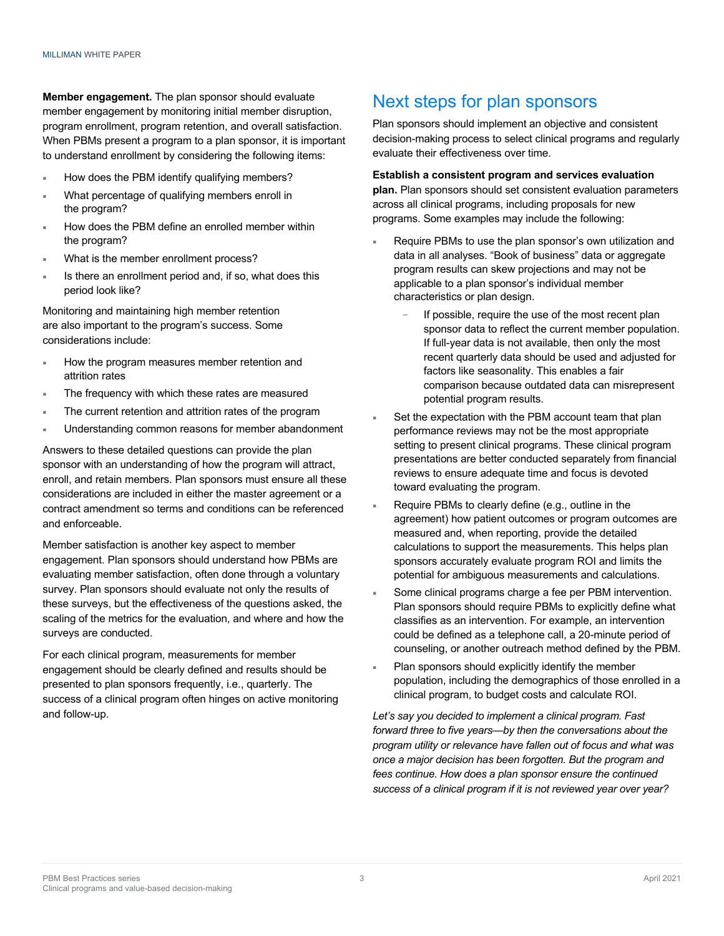**Member engagement.** The plan sponsor should evaluate member engagement by monitoring initial member disruption, program enrollment, program retention, and overall satisfaction. When PBMs present a program to a plan sponsor, it is important to understand enrollment by considering the following items:

- How does the PBM identify qualifying members?
- What percentage of qualifying members enroll in the program?
- How does the PBM define an enrolled member within the program?
- What is the member enrollment process?
- Is there an enrollment period and, if so, what does this period look like?

Monitoring and maintaining high member retention are also important to the program's success. Some considerations include:

- How the program measures member retention and attrition rates
- The frequency with which these rates are measured
- The current retention and attrition rates of the program
- Understanding common reasons for member abandonment

Answers to these detailed questions can provide the plan sponsor with an understanding of how the program will attract, enroll, and retain members. Plan sponsors must ensure all these considerations are included in either the master agreement or a contract amendment so terms and conditions can be referenced and enforceable.

Member satisfaction is another key aspect to member engagement. Plan sponsors should understand how PBMs are evaluating member satisfaction, often done through a voluntary survey. Plan sponsors should evaluate not only the results of these surveys, but the effectiveness of the questions asked, the scaling of the metrics for the evaluation, and where and how the surveys are conducted.

For each clinical program, measurements for member engagement should be clearly defined and results should be presented to plan sponsors frequently, i.e., quarterly. The success of a clinical program often hinges on active monitoring and follow-up.

### Next steps for plan sponsors

Plan sponsors should implement an objective and consistent decision-making process to select clinical programs and regularly evaluate their effectiveness over time.

#### **Establish a consistent program and services evaluation**

**plan.** Plan sponsors should set consistent evaluation parameters across all clinical programs, including proposals for new programs. Some examples may include the following:

- Require PBMs to use the plan sponsor's own utilization and data in all analyses. "Book of business" data or aggregate program results can skew projections and may not be applicable to a plan sponsor's individual member characteristics or plan design.
	- If possible, require the use of the most recent plan sponsor data to reflect the current member population. If full-year data is not available, then only the most recent quarterly data should be used and adjusted for factors like seasonality. This enables a fair comparison because outdated data can misrepresent potential program results.
- Set the expectation with the PBM account team that plan performance reviews may not be the most appropriate setting to present clinical programs. These clinical program presentations are better conducted separately from financial reviews to ensure adequate time and focus is devoted toward evaluating the program.
- Require PBMs to clearly define (e.g., outline in the agreement) how patient outcomes or program outcomes are measured and, when reporting, provide the detailed calculations to support the measurements. This helps plan sponsors accurately evaluate program ROI and limits the potential for ambiguous measurements and calculations.
- Some clinical programs charge a fee per PBM intervention. Plan sponsors should require PBMs to explicitly define what classifies as an intervention. For example, an intervention could be defined as a telephone call, a 20-minute period of counseling, or another outreach method defined by the PBM.
- Plan sponsors should explicitly identify the member population, including the demographics of those enrolled in a clinical program, to budget costs and calculate ROI.

*Let's say you decided to implement a clinical program. Fast forward three to five years—by then the conversations about the program utility or relevance have fallen out of focus and what was once a major decision has been forgotten. But the program and fees continue. How does a plan sponsor ensure the continued success of a clinical program if it is not reviewed year over year?*